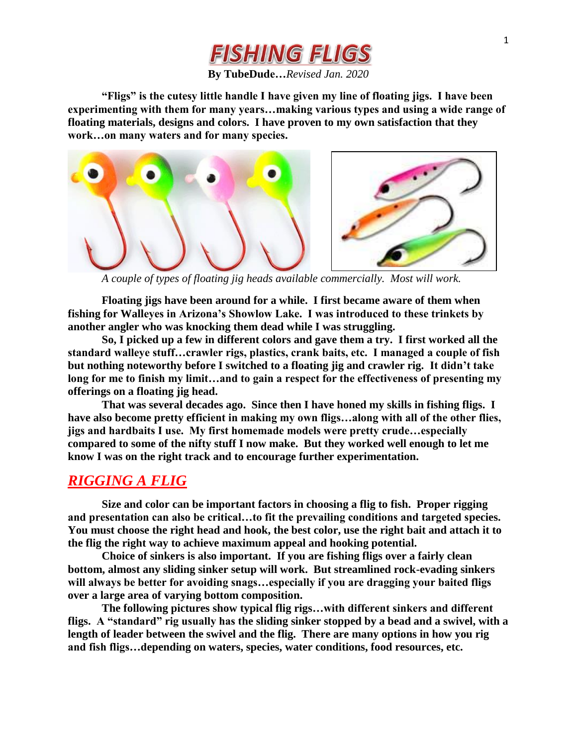# FISHING FLIGS

### **By TubeDude…***Revised Jan. 2020*

**"Fligs" is the cutesy little handle I have given my line of floating jigs. I have been experimenting with them for many years…making various types and using a wide range of floating materials, designs and colors. I have proven to my own satisfaction that they work…on many waters and for many species.**



*A couple of types of floating jig heads available commercially. Most will work.*

**Floating jigs have been around for a while. I first became aware of them when fishing for Walleyes in Arizona's Showlow Lake. I was introduced to these trinkets by another angler who was knocking them dead while I was struggling.** 

**So, I picked up a few in different colors and gave them a try. I first worked all the standard walleye stuff…crawler rigs, plastics, crank baits, etc. I managed a couple of fish but nothing noteworthy before I switched to a floating jig and crawler rig. It didn't take long for me to finish my limit…and to gain a respect for the effectiveness of presenting my offerings on a floating jig head.** 

**That was several decades ago. Since then I have honed my skills in fishing fligs. I have also become pretty efficient in making my own fligs…along with all of the other flies, jigs and hardbaits I use. My first homemade models were pretty crude…especially compared to some of the nifty stuff I now make. But they worked well enough to let me know I was on the right track and to encourage further experimentation.**

## *RIGGING A FLIG*

**Size and color can be important factors in choosing a flig to fish. Proper rigging and presentation can also be critical…to fit the prevailing conditions and targeted species. You must choose the right head and hook, the best color, use the right bait and attach it to the flig the right way to achieve maximum appeal and hooking potential.**

**Choice of sinkers is also important. If you are fishing fligs over a fairly clean bottom, almost any sliding sinker setup will work. But streamlined rock-evading sinkers will always be better for avoiding snags…especially if you are dragging your baited fligs over a large area of varying bottom composition.**

**The following pictures show typical flig rigs…with different sinkers and different fligs. A "standard" rig usually has the sliding sinker stopped by a bead and a swivel, with a length of leader between the swivel and the flig. There are many options in how you rig and fish fligs…depending on waters, species, water conditions, food resources, etc.**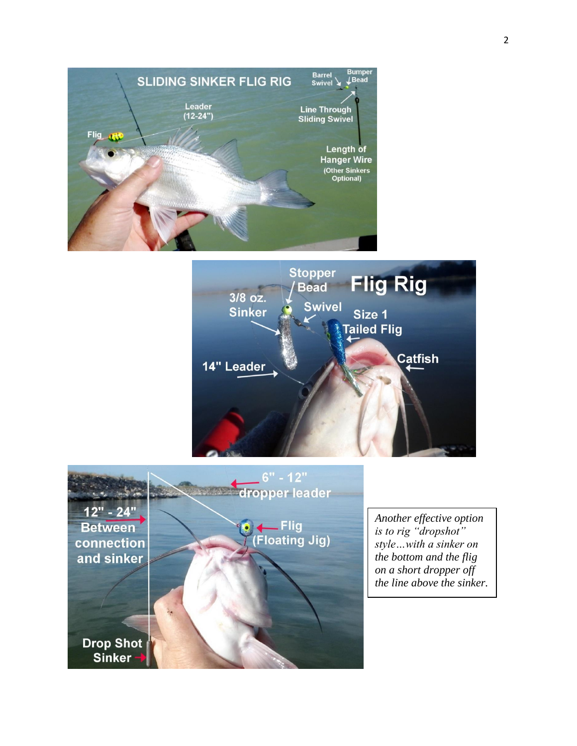





*Another effective option is to rig "dropshot" style…with a sinker on the bottom and the flig on a short dropper off the line above the sinker.*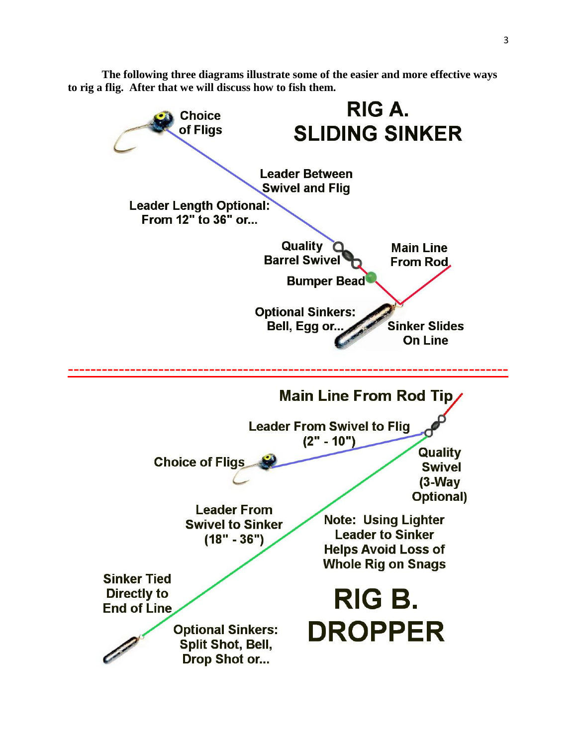**The following three diagrams illustrate some of the easier and more effective ways to rig a flig. After that we will discuss how to fish them.**

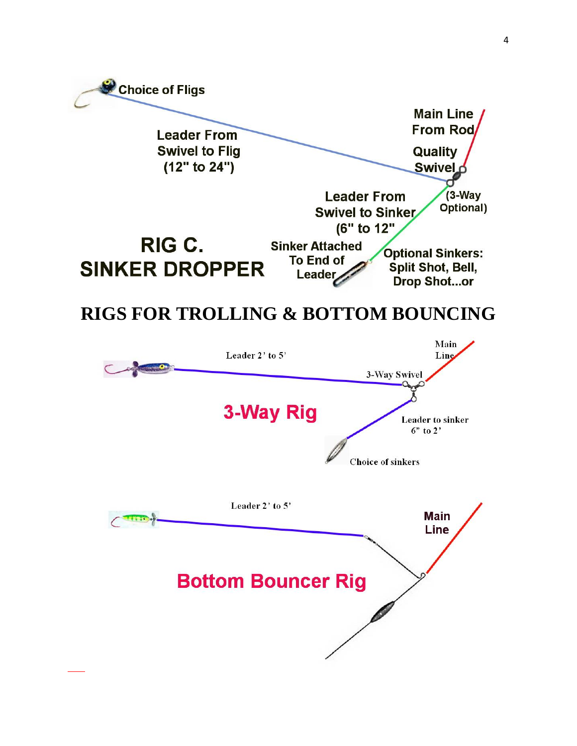